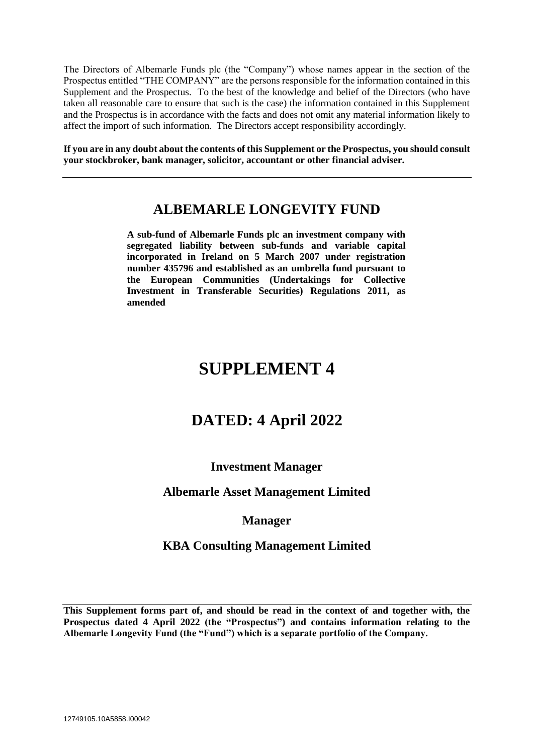The Directors of Albemarle Funds plc (the "Company") whose names appear in the section of the Prospectus entitled "THE COMPANY" are the persons responsible for the information contained in this Supplement and the Prospectus. To the best of the knowledge and belief of the Directors (who have taken all reasonable care to ensure that such is the case) the information contained in this Supplement and the Prospectus is in accordance with the facts and does not omit any material information likely to affect the import of such information. The Directors accept responsibility accordingly.

**If you are in any doubt about the contents of this Supplement or the Prospectus, you should consult your stockbroker, bank manager, solicitor, accountant or other financial adviser.**

# **ALBEMARLE LONGEVITY FUND**

**A sub-fund of Albemarle Funds plc an investment company with segregated liability between sub-funds and variable capital incorporated in Ireland on 5 March 2007 under registration number 435796 and established as an umbrella fund pursuant to the European Communities (Undertakings for Collective Investment in Transferable Securities) Regulations 2011, as amended**

# **SUPPLEMENT 4**

# **DATED: 4 April 2022**

# **Investment Manager**

# **Albemarle Asset Management Limited**

# **Manager**

## **KBA Consulting Management Limited**

**This Supplement forms part of, and should be read in the context of and together with, the Prospectus dated 4 April 2022 (the "Prospectus") and contains information relating to the Albemarle Longevity Fund (the "Fund") which is a separate portfolio of the Company.**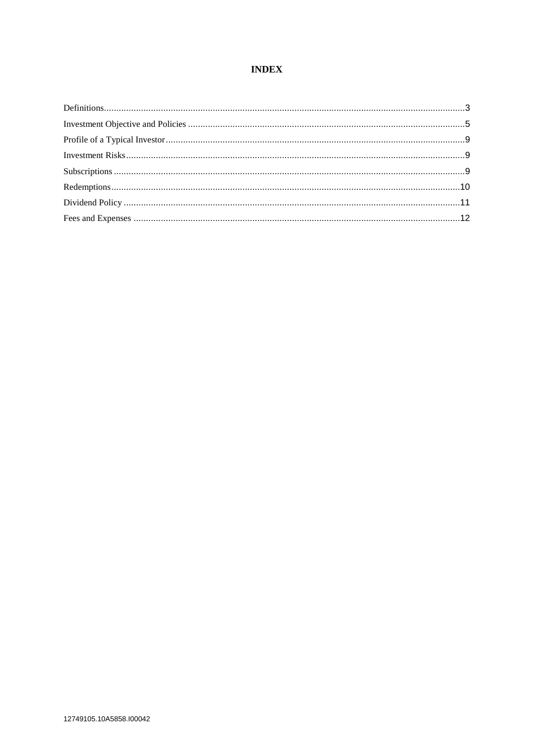## **INDEX**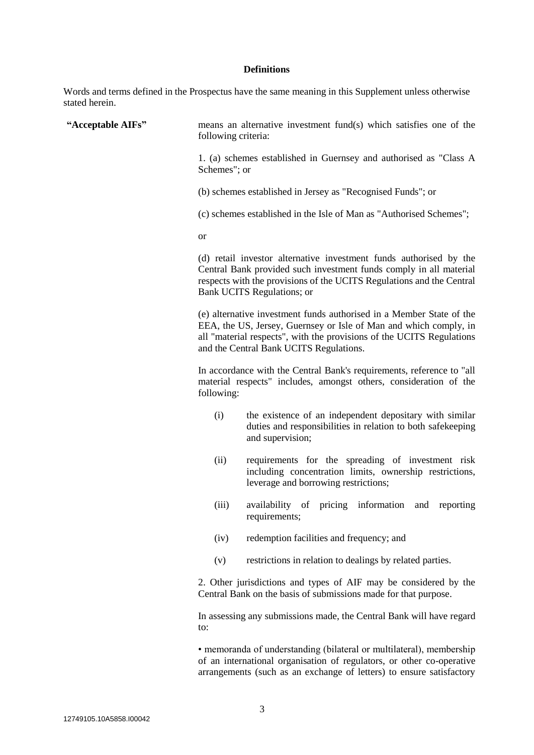## **Definitions**

Words and terms defined in the Prospectus have the same meaning in this Supplement unless otherwise stated herein.

| "Acceptable AIFs" | means an alternative investment fund(s) which satisfies one of the<br>following criteria:                                                                                                                                                                     |                                                                                                                                                      |  |  |
|-------------------|---------------------------------------------------------------------------------------------------------------------------------------------------------------------------------------------------------------------------------------------------------------|------------------------------------------------------------------------------------------------------------------------------------------------------|--|--|
|                   | 1. (a) schemes established in Guernsey and authorised as "Class A<br>Schemes"; or                                                                                                                                                                             |                                                                                                                                                      |  |  |
|                   | (b) schemes established in Jersey as "Recognised Funds"; or                                                                                                                                                                                                   |                                                                                                                                                      |  |  |
|                   | (c) schemes established in the Isle of Man as "Authorised Schemes";                                                                                                                                                                                           |                                                                                                                                                      |  |  |
|                   | <sub>or</sub>                                                                                                                                                                                                                                                 |                                                                                                                                                      |  |  |
|                   | (d) retail investor alternative investment funds authorised by the<br>Central Bank provided such investment funds comply in all material<br>respects with the provisions of the UCITS Regulations and the Central<br>Bank UCITS Regulations; or               |                                                                                                                                                      |  |  |
|                   | (e) alternative investment funds authorised in a Member State of the<br>EEA, the US, Jersey, Guernsey or Isle of Man and which comply, in<br>all "material respects", with the provisions of the UCITS Regulations<br>and the Central Bank UCITS Regulations. |                                                                                                                                                      |  |  |
|                   | following:                                                                                                                                                                                                                                                    | In accordance with the Central Bank's requirements, reference to "all<br>material respects" includes, amongst others, consideration of the           |  |  |
|                   | (i)                                                                                                                                                                                                                                                           | the existence of an independent depositary with similar<br>duties and responsibilities in relation to both safekeeping<br>and supervision;           |  |  |
|                   | (ii)                                                                                                                                                                                                                                                          | requirements for the spreading of investment risk<br>including concentration limits, ownership restrictions,<br>leverage and borrowing restrictions; |  |  |
|                   | (iii)                                                                                                                                                                                                                                                         | availability of pricing information and reporting<br>requirements;                                                                                   |  |  |
|                   | (iv)                                                                                                                                                                                                                                                          | redemption facilities and frequency; and                                                                                                             |  |  |
|                   | (v)                                                                                                                                                                                                                                                           | restrictions in relation to dealings by related parties.                                                                                             |  |  |

2. Other jurisdictions and types of AIF may be considered by the Central Bank on the basis of submissions made for that purpose.

In assessing any submissions made, the Central Bank will have regard to:

• memoranda of understanding (bilateral or multilateral), membership of an international organisation of regulators, or other co-operative arrangements (such as an exchange of letters) to ensure satisfactory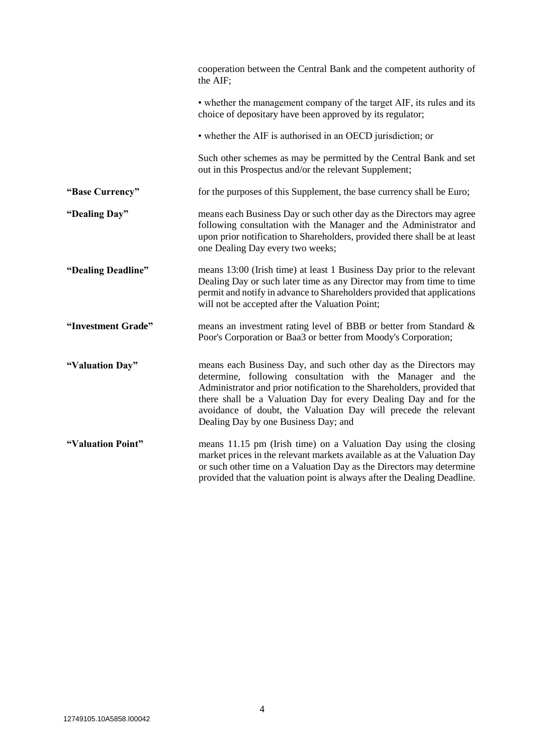|                    | cooperation between the Central Bank and the competent authority of<br>the AIF;                                                                                                                                                                                                                                                                                                          |
|--------------------|------------------------------------------------------------------------------------------------------------------------------------------------------------------------------------------------------------------------------------------------------------------------------------------------------------------------------------------------------------------------------------------|
|                    | • whether the management company of the target AIF, its rules and its<br>choice of depositary have been approved by its regulator;                                                                                                                                                                                                                                                       |
|                    | • whether the AIF is authorised in an OECD jurisdiction; or                                                                                                                                                                                                                                                                                                                              |
|                    | Such other schemes as may be permitted by the Central Bank and set<br>out in this Prospectus and/or the relevant Supplement;                                                                                                                                                                                                                                                             |
| "Base Currency"    | for the purposes of this Supplement, the base currency shall be Euro;                                                                                                                                                                                                                                                                                                                    |
| "Dealing Day"      | means each Business Day or such other day as the Directors may agree<br>following consultation with the Manager and the Administrator and<br>upon prior notification to Shareholders, provided there shall be at least<br>one Dealing Day every two weeks;                                                                                                                               |
| "Dealing Deadline" | means 13:00 (Irish time) at least 1 Business Day prior to the relevant<br>Dealing Day or such later time as any Director may from time to time<br>permit and notify in advance to Shareholders provided that applications<br>will not be accepted after the Valuation Point;                                                                                                             |
| "Investment Grade" | means an investment rating level of BBB or better from Standard &<br>Poor's Corporation or Baa3 or better from Moody's Corporation;                                                                                                                                                                                                                                                      |
| "Valuation Day"    | means each Business Day, and such other day as the Directors may<br>determine, following consultation with the Manager and the<br>Administrator and prior notification to the Shareholders, provided that<br>there shall be a Valuation Day for every Dealing Day and for the<br>avoidance of doubt, the Valuation Day will precede the relevant<br>Dealing Day by one Business Day; and |
| "Valuation Point"  | means 11.15 pm (Irish time) on a Valuation Day using the closing<br>market prices in the relevant markets available as at the Valuation Day<br>or such other time on a Valuation Day as the Directors may determine<br>provided that the valuation point is always after the Dealing Deadline.                                                                                           |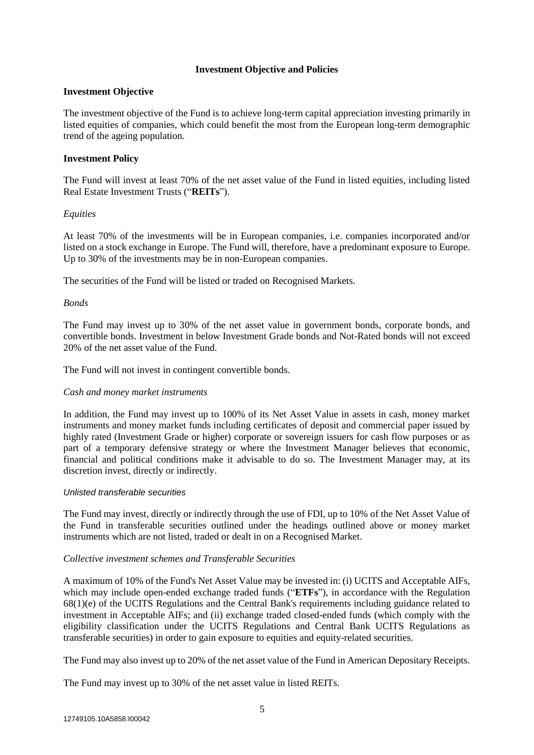## **Investment Objective and Policies**

## **Investment Objective**

The investment objective of the Fund is to achieve long-term capital appreciation investing primarily in listed equities of companies, which could benefit the most from the European long-term demographic trend of the ageing population.

## **Investment Policy**

The Fund will invest at least 70% of the net asset value of the Fund in listed equities, including listed Real Estate Investment Trusts ("**REITs**").

## *Equities*

At least 70% of the investments will be in European companies, i.e. companies incorporated and/or listed on a stock exchange in Europe. The Fund will, therefore, have a predominant exposure to Europe. Up to 30% of the investments may be in non-European companies.

The securities of the Fund will be listed or traded on Recognised Markets.

## *Bonds*

The Fund may invest up to 30% of the net asset value in government bonds, corporate bonds, and convertible bonds. Investment in below Investment Grade bonds and Not-Rated bonds will not exceed 20% of the net asset value of the Fund.

The Fund will not invest in contingent convertible bonds.

## *Cash and money market instruments*

In addition, the Fund may invest up to 100% of its Net Asset Value in assets in cash, money market instruments and money market funds including certificates of deposit and commercial paper issued by highly rated (Investment Grade or higher) corporate or sovereign issuers for cash flow purposes or as part of a temporary defensive strategy or where the Investment Manager believes that economic, financial and political conditions make it advisable to do so. The Investment Manager may, at its discretion invest, directly or indirectly.

## *Unlisted transferable securities*

The Fund may invest, directly or indirectly through the use of FDI, up to 10% of the Net Asset Value of the Fund in transferable securities outlined under the headings outlined above or money market instruments which are not listed, traded or dealt in on a Recognised Market.

## *Collective investment schemes and Transferable Securities*

A maximum of 10% of the Fund's Net Asset Value may be invested in: (i) UCITS and Acceptable AIFs, which may include open-ended exchange traded funds ("**ETFs**"), in accordance with the Regulation 68(1)(e) of the UCITS Regulations and the Central Bank's requirements including guidance related to investment in Acceptable AIFs; and (ii) exchange traded closed-ended funds (which comply with the eligibility classification under the UCITS Regulations and Central Bank UCITS Regulations as transferable securities) in order to gain exposure to equities and equity-related securities.

The Fund may also invest up to 20% of the net asset value of the Fund in American Depositary Receipts.

The Fund may invest up to 30% of the net asset value in listed REITs.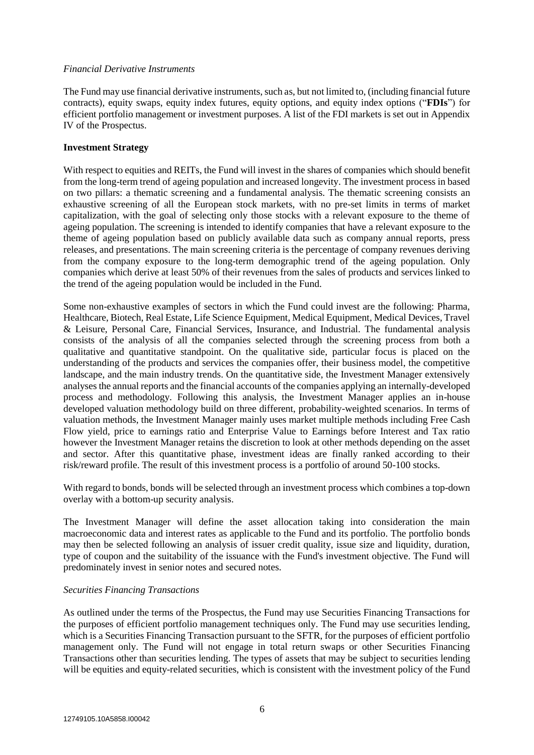## *Financial Derivative Instruments*

The Fund may use financial derivative instruments, such as, but not limited to, (including financial future contracts), equity swaps, equity index futures, equity options, and equity index options ("**FDIs**") for efficient portfolio management or investment purposes. A list of the FDI markets is set out in Appendix IV of the Prospectus.

## **Investment Strategy**

With respect to equities and REITs, the Fund will invest in the shares of companies which should benefit from the long-term trend of ageing population and increased longevity. The investment process in based on two pillars: a thematic screening and a fundamental analysis. The thematic screening consists an exhaustive screening of all the European stock markets, with no pre-set limits in terms of market capitalization, with the goal of selecting only those stocks with a relevant exposure to the theme of ageing population. The screening is intended to identify companies that have a relevant exposure to the theme of ageing population based on publicly available data such as company annual reports, press releases, and presentations. The main screening criteria is the percentage of company revenues deriving from the company exposure to the long-term demographic trend of the ageing population. Only companies which derive at least 50% of their revenues from the sales of products and services linked to the trend of the ageing population would be included in the Fund.

Some non-exhaustive examples of sectors in which the Fund could invest are the following: Pharma, Healthcare, Biotech, Real Estate, Life Science Equipment, Medical Equipment, Medical Devices, Travel & Leisure, Personal Care, Financial Services, Insurance, and Industrial. The fundamental analysis consists of the analysis of all the companies selected through the screening process from both a qualitative and quantitative standpoint. On the qualitative side, particular focus is placed on the understanding of the products and services the companies offer, their business model, the competitive landscape, and the main industry trends. On the quantitative side, the Investment Manager extensively analyses the annual reports and the financial accounts of the companies applying an internally-developed process and methodology. Following this analysis, the Investment Manager applies an in-house developed valuation methodology build on three different, probability-weighted scenarios. In terms of valuation methods, the Investment Manager mainly uses market multiple methods including Free Cash Flow yield, price to earnings ratio and Enterprise Value to Earnings before Interest and Tax ratio however the Investment Manager retains the discretion to look at other methods depending on the asset and sector. After this quantitative phase, investment ideas are finally ranked according to their risk/reward profile. The result of this investment process is a portfolio of around 50-100 stocks.

With regard to bonds, bonds will be selected through an investment process which combines a top-down overlay with a bottom-up security analysis.

The Investment Manager will define the asset allocation taking into consideration the main macroeconomic data and interest rates as applicable to the Fund and its portfolio. The portfolio bonds may then be selected following an analysis of issuer credit quality, issue size and liquidity, duration, type of coupon and the suitability of the issuance with the Fund's investment objective. The Fund will predominately invest in senior notes and secured notes.

## *Securities Financing Transactions*

As outlined under the terms of the Prospectus, the Fund may use Securities Financing Transactions for the purposes of efficient portfolio management techniques only. The Fund may use securities lending, which is a Securities Financing Transaction pursuant to the SFTR, for the purposes of efficient portfolio management only. The Fund will not engage in total return swaps or other Securities Financing Transactions other than securities lending. The types of assets that may be subject to securities lending will be equities and equity-related securities, which is consistent with the investment policy of the Fund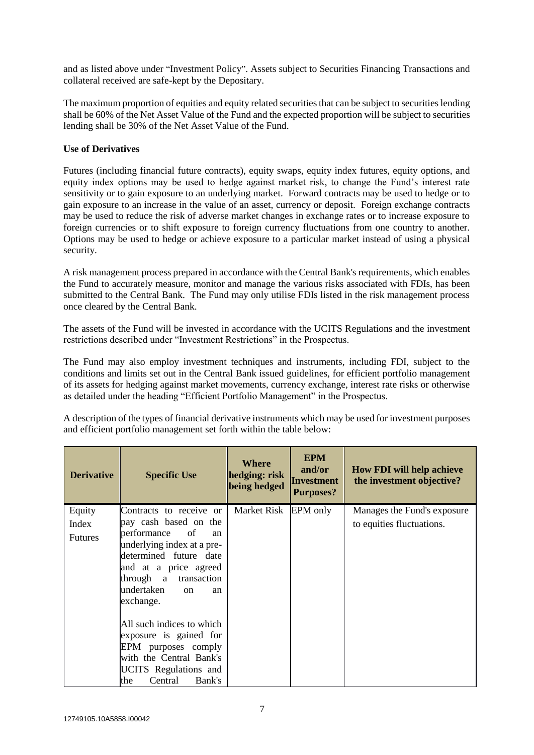and as listed above under "Investment Policy". Assets subject to Securities Financing Transactions and collateral received are safe-kept by the Depositary.

The maximum proportion of equities and equity related securities that can be subject to securities lending shall be 60% of the Net Asset Value of the Fund and the expected proportion will be subject to securities lending shall be 30% of the Net Asset Value of the Fund.

## **Use of Derivatives**

Futures (including financial future contracts), equity swaps, equity index futures, equity options, and equity index options may be used to hedge against market risk, to change the Fund's interest rate sensitivity or to gain exposure to an underlying market. Forward contracts may be used to hedge or to gain exposure to an increase in the value of an asset, currency or deposit. Foreign exchange contracts may be used to reduce the risk of adverse market changes in exchange rates or to increase exposure to foreign currencies or to shift exposure to foreign currency fluctuations from one country to another. Options may be used to hedge or achieve exposure to a particular market instead of using a physical security.

A risk management process prepared in accordance with the Central Bank's requirements, which enables the Fund to accurately measure, monitor and manage the various risks associated with FDIs, has been submitted to the Central Bank. The Fund may only utilise FDIs listed in the risk management process once cleared by the Central Bank.

The assets of the Fund will be invested in accordance with the UCITS Regulations and the investment restrictions described under "Investment Restrictions" in the Prospectus.

The Fund may also employ investment techniques and instruments, including FDI, subject to the conditions and limits set out in the Central Bank issued guidelines, for efficient portfolio management of its assets for hedging against market movements, currency exchange, interest rate risks or otherwise as detailed under the heading "Efficient Portfolio Management" in the Prospectus.

A description of the types of financial derivative instruments which may be used for investment purposes and efficient portfolio management set forth within the table below:

| <b>Derivative</b>                 | <b>Specific Use</b>                                                                                                                                                                                                                                                                                                                                                                                 | <b>Where</b><br>hedging: risk<br>being hedged | <b>EPM</b><br>and/or<br><b>Investment</b><br><b>Purposes?</b> | <b>How FDI will help achieve</b><br>the investment objective? |
|-----------------------------------|-----------------------------------------------------------------------------------------------------------------------------------------------------------------------------------------------------------------------------------------------------------------------------------------------------------------------------------------------------------------------------------------------------|-----------------------------------------------|---------------------------------------------------------------|---------------------------------------------------------------|
| Equity<br>Index<br><b>Futures</b> | Contracts to receive or<br>pay cash based on the<br>performance<br>of<br>an<br>underlying index at a pre-<br>determined future date<br>and at a price agreed<br>transaction<br>through a<br>undertaken<br>$\alpha$<br>an<br>exchange.<br>All such indices to which<br>exposure is gained for<br>EPM purposes comply<br>with the Central Bank's<br>UCITS Regulations and<br>Bank's<br>the<br>Central | Market Risk                                   | EPM only                                                      | Manages the Fund's exposure<br>to equities fluctuations.      |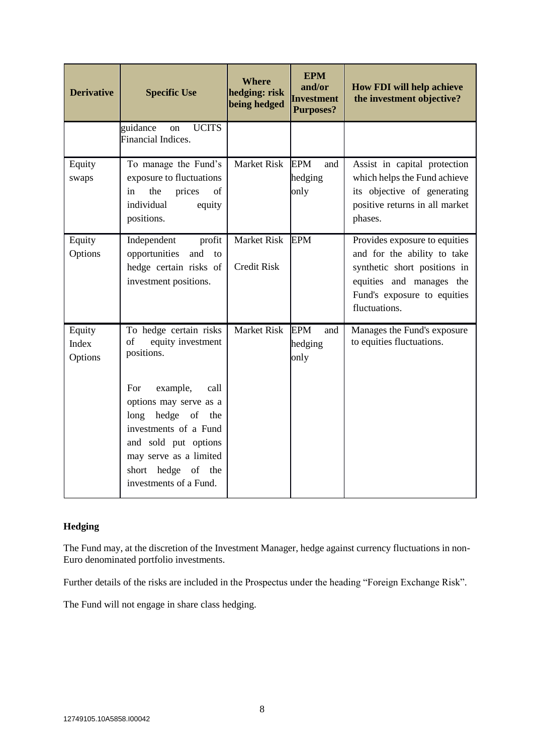| <b>Derivative</b>                 | <b>Specific Use</b>                                                                                                                                                                                                                                                  | <b>Where</b><br>hedging: risk<br>being hedged | <b>EPM</b><br>and/or<br><b>Investment</b><br><b>Purposes?</b> | <b>How FDI will help achieve</b><br>the investment objective?                                                                                                            |
|-----------------------------------|----------------------------------------------------------------------------------------------------------------------------------------------------------------------------------------------------------------------------------------------------------------------|-----------------------------------------------|---------------------------------------------------------------|--------------------------------------------------------------------------------------------------------------------------------------------------------------------------|
|                                   | <b>UCITS</b><br>guidance<br><sub>on</sub><br>Financial Indices.                                                                                                                                                                                                      |                                               |                                                               |                                                                                                                                                                          |
| Equity<br>swaps                   | To manage the Fund's<br>exposure to fluctuations<br>the<br>prices<br>of<br>in<br>individual<br>equity<br>positions.                                                                                                                                                  | <b>Market Risk</b>                            | <b>EPM</b><br>and<br>hedging<br>only                          | Assist in capital protection<br>which helps the Fund achieve<br>its objective of generating<br>positive returns in all market<br>phases.                                 |
| Equity<br>Options                 | Independent<br>profit<br>opportunities<br>and<br>to<br>hedge certain risks of<br>investment positions.                                                                                                                                                               | <b>Market Risk</b><br><b>Credit Risk</b>      | <b>EPM</b>                                                    | Provides exposure to equities<br>and for the ability to take<br>synthetic short positions in<br>equities and manages the<br>Fund's exposure to equities<br>fluctuations. |
| Equity<br><b>Index</b><br>Options | To hedge certain risks<br>equity investment<br>of<br>positions.<br>example,<br>For<br>call<br>options may serve as a<br>long hedge of the<br>investments of a Fund<br>and sold put options<br>may serve as a limited<br>short hedge of the<br>investments of a Fund. | <b>Market Risk</b>                            | <b>EPM</b><br>and<br>hedging<br>only                          | Manages the Fund's exposure<br>to equities fluctuations.                                                                                                                 |

## **Hedging**

The Fund may, at the discretion of the Investment Manager, hedge against currency fluctuations in non-Euro denominated portfolio investments.

Further details of the risks are included in the Prospectus under the heading "Foreign Exchange Risk".

The Fund will not engage in share class hedging.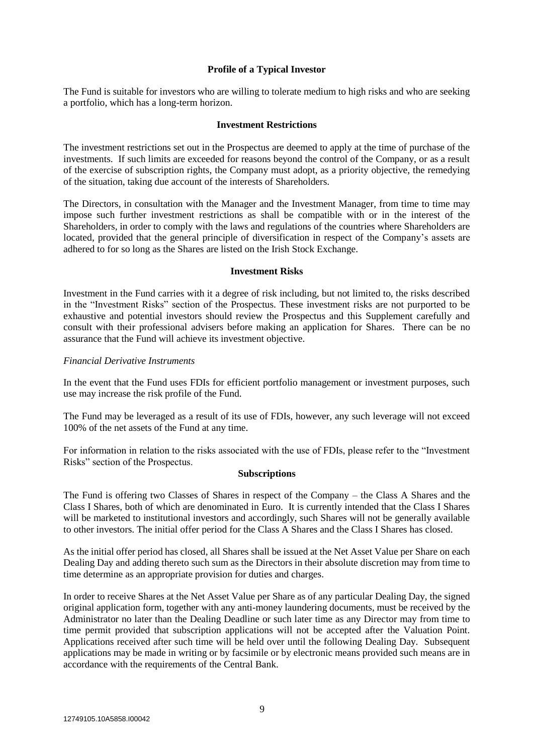## **Profile of a Typical Investor**

The Fund is suitable for investors who are willing to tolerate medium to high risks and who are seeking a portfolio, which has a long-term horizon.

## **Investment Restrictions**

The investment restrictions set out in the Prospectus are deemed to apply at the time of purchase of the investments. If such limits are exceeded for reasons beyond the control of the Company, or as a result of the exercise of subscription rights, the Company must adopt, as a priority objective, the remedying of the situation, taking due account of the interests of Shareholders.

The Directors, in consultation with the Manager and the Investment Manager, from time to time may impose such further investment restrictions as shall be compatible with or in the interest of the Shareholders, in order to comply with the laws and regulations of the countries where Shareholders are located, provided that the general principle of diversification in respect of the Company's assets are adhered to for so long as the Shares are listed on the Irish Stock Exchange.

## **Investment Risks**

Investment in the Fund carries with it a degree of risk including, but not limited to, the risks described in the "Investment Risks" section of the Prospectus. These investment risks are not purported to be exhaustive and potential investors should review the Prospectus and this Supplement carefully and consult with their professional advisers before making an application for Shares. There can be no assurance that the Fund will achieve its investment objective.

## *Financial Derivative Instruments*

In the event that the Fund uses FDIs for efficient portfolio management or investment purposes, such use may increase the risk profile of the Fund.

The Fund may be leveraged as a result of its use of FDIs, however, any such leverage will not exceed 100% of the net assets of the Fund at any time.

For information in relation to the risks associated with the use of FDIs, please refer to the "Investment Risks" section of the Prospectus.

## **Subscriptions**

The Fund is offering two Classes of Shares in respect of the Company – the Class A Shares and the Class I Shares, both of which are denominated in Euro. It is currently intended that the Class I Shares will be marketed to institutional investors and accordingly, such Shares will not be generally available to other investors. The initial offer period for the Class A Shares and the Class I Shares has closed.

As the initial offer period has closed, all Shares shall be issued at the Net Asset Value per Share on each Dealing Day and adding thereto such sum as the Directors in their absolute discretion may from time to time determine as an appropriate provision for duties and charges.

In order to receive Shares at the Net Asset Value per Share as of any particular Dealing Day, the signed original application form, together with any anti-money laundering documents, must be received by the Administrator no later than the Dealing Deadline or such later time as any Director may from time to time permit provided that subscription applications will not be accepted after the Valuation Point. Applications received after such time will be held over until the following Dealing Day. Subsequent applications may be made in writing or by facsimile or by electronic means provided such means are in accordance with the requirements of the Central Bank.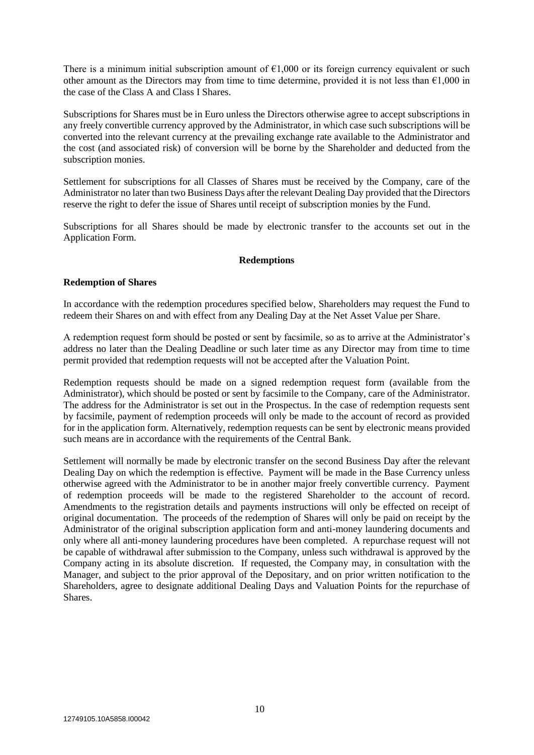There is a minimum initial subscription amount of  $\epsilon$ 1,000 or its foreign currency equivalent or such other amount as the Directors may from time to time determine, provided it is not less than  $\epsilon$ 1,000 in the case of the Class A and Class I Shares.

Subscriptions for Shares must be in Euro unless the Directors otherwise agree to accept subscriptions in any freely convertible currency approved by the Administrator, in which case such subscriptions will be converted into the relevant currency at the prevailing exchange rate available to the Administrator and the cost (and associated risk) of conversion will be borne by the Shareholder and deducted from the subscription monies.

Settlement for subscriptions for all Classes of Shares must be received by the Company, care of the Administrator no later than two Business Days after the relevant Dealing Day provided that the Directors reserve the right to defer the issue of Shares until receipt of subscription monies by the Fund.

Subscriptions for all Shares should be made by electronic transfer to the accounts set out in the Application Form.

## **Redemptions**

## **Redemption of Shares**

In accordance with the redemption procedures specified below, Shareholders may request the Fund to redeem their Shares on and with effect from any Dealing Day at the Net Asset Value per Share.

A redemption request form should be posted or sent by facsimile, so as to arrive at the Administrator's address no later than the Dealing Deadline or such later time as any Director may from time to time permit provided that redemption requests will not be accepted after the Valuation Point.

Redemption requests should be made on a signed redemption request form (available from the Administrator), which should be posted or sent by facsimile to the Company, care of the Administrator. The address for the Administrator is set out in the Prospectus. In the case of redemption requests sent by facsimile, payment of redemption proceeds will only be made to the account of record as provided for in the application form. Alternatively, redemption requests can be sent by electronic means provided such means are in accordance with the requirements of the Central Bank.

Settlement will normally be made by electronic transfer on the second Business Day after the relevant Dealing Day on which the redemption is effective. Payment will be made in the Base Currency unless otherwise agreed with the Administrator to be in another major freely convertible currency. Payment of redemption proceeds will be made to the registered Shareholder to the account of record. Amendments to the registration details and payments instructions will only be effected on receipt of original documentation. The proceeds of the redemption of Shares will only be paid on receipt by the Administrator of the original subscription application form and anti-money laundering documents and only where all anti-money laundering procedures have been completed. A repurchase request will not be capable of withdrawal after submission to the Company, unless such withdrawal is approved by the Company acting in its absolute discretion. If requested, the Company may, in consultation with the Manager, and subject to the prior approval of the Depositary, and on prior written notification to the Shareholders, agree to designate additional Dealing Days and Valuation Points for the repurchase of **Shares**.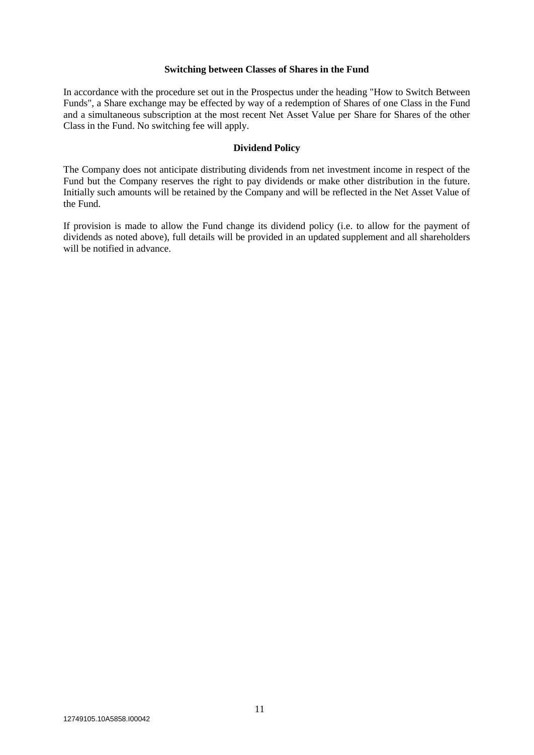## **Switching between Classes of Shares in the Fund**

In accordance with the procedure set out in the Prospectus under the heading "How to Switch Between Funds", a Share exchange may be effected by way of a redemption of Shares of one Class in the Fund and a simultaneous subscription at the most recent Net Asset Value per Share for Shares of the other Class in the Fund. No switching fee will apply.

## **Dividend Policy**

The Company does not anticipate distributing dividends from net investment income in respect of the Fund but the Company reserves the right to pay dividends or make other distribution in the future. Initially such amounts will be retained by the Company and will be reflected in the Net Asset Value of the Fund.

If provision is made to allow the Fund change its dividend policy (i.e. to allow for the payment of dividends as noted above), full details will be provided in an updated supplement and all shareholders will be notified in advance.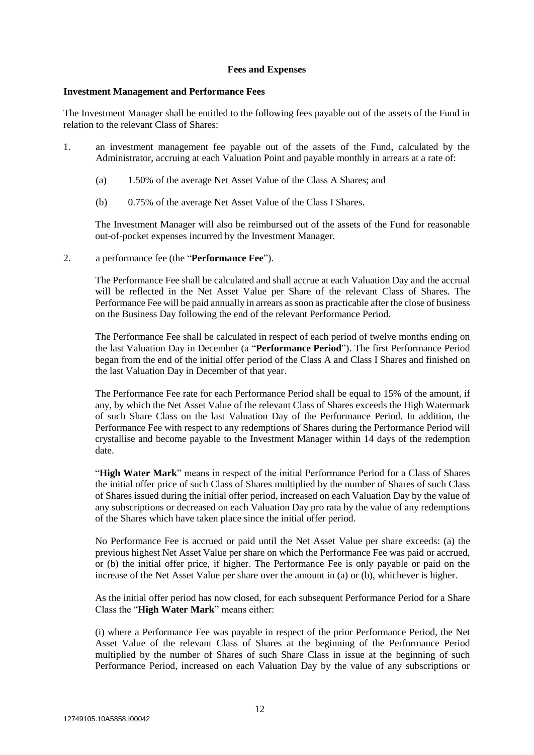## **Fees and Expenses**

#### **Investment Management and Performance Fees**

The Investment Manager shall be entitled to the following fees payable out of the assets of the Fund in relation to the relevant Class of Shares:

- 1. an investment management fee payable out of the assets of the Fund, calculated by the Administrator, accruing at each Valuation Point and payable monthly in arrears at a rate of:
	- (a) 1.50% of the average Net Asset Value of the Class A Shares; and
	- (b) 0.75% of the average Net Asset Value of the Class I Shares.

The Investment Manager will also be reimbursed out of the assets of the Fund for reasonable out-of-pocket expenses incurred by the Investment Manager.

2. a performance fee (the "**Performance Fee**").

The Performance Fee shall be calculated and shall accrue at each Valuation Day and the accrual will be reflected in the Net Asset Value per Share of the relevant Class of Shares. The Performance Fee will be paid annually in arrears as soon as practicable after the close of business on the Business Day following the end of the relevant Performance Period.

The Performance Fee shall be calculated in respect of each period of twelve months ending on the last Valuation Day in December (a "**Performance Period**"). The first Performance Period began from the end of the initial offer period of the Class A and Class I Shares and finished on the last Valuation Day in December of that year.

The Performance Fee rate for each Performance Period shall be equal to 15% of the amount, if any, by which the Net Asset Value of the relevant Class of Shares exceeds the High Watermark of such Share Class on the last Valuation Day of the Performance Period. In addition, the Performance Fee with respect to any redemptions of Shares during the Performance Period will crystallise and become payable to the Investment Manager within 14 days of the redemption date.

"**High Water Mark**" means in respect of the initial Performance Period for a Class of Shares the initial offer price of such Class of Shares multiplied by the number of Shares of such Class of Shares issued during the initial offer period, increased on each Valuation Day by the value of any subscriptions or decreased on each Valuation Day pro rata by the value of any redemptions of the Shares which have taken place since the initial offer period.

No Performance Fee is accrued or paid until the Net Asset Value per share exceeds: (a) the previous highest Net Asset Value per share on which the Performance Fee was paid or accrued, or (b) the initial offer price, if higher. The Performance Fee is only payable or paid on the increase of the Net Asset Value per share over the amount in (a) or (b), whichever is higher.

As the initial offer period has now closed, for each subsequent Performance Period for a Share Class the "**High Water Mark**" means either:

(i) where a Performance Fee was payable in respect of the prior Performance Period, the Net Asset Value of the relevant Class of Shares at the beginning of the Performance Period multiplied by the number of Shares of such Share Class in issue at the beginning of such Performance Period, increased on each Valuation Day by the value of any subscriptions or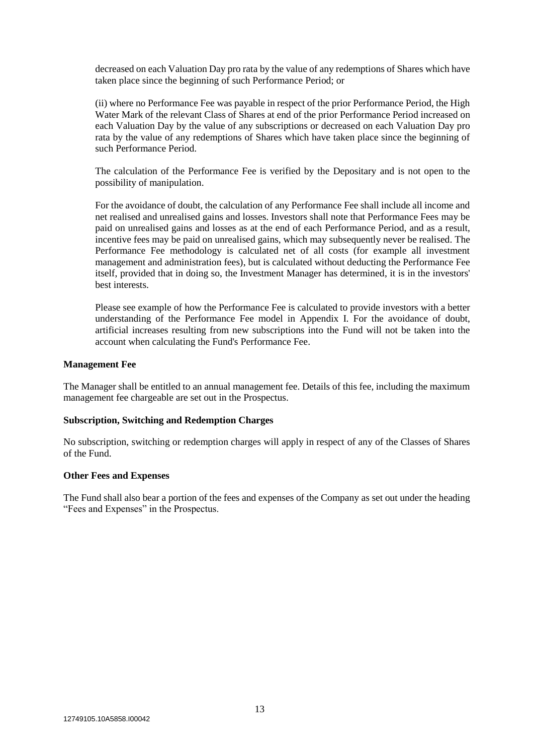decreased on each Valuation Day pro rata by the value of any redemptions of Shares which have taken place since the beginning of such Performance Period; or

(ii) where no Performance Fee was payable in respect of the prior Performance Period, the High Water Mark of the relevant Class of Shares at end of the prior Performance Period increased on each Valuation Day by the value of any subscriptions or decreased on each Valuation Day pro rata by the value of any redemptions of Shares which have taken place since the beginning of such Performance Period.

The calculation of the Performance Fee is verified by the Depositary and is not open to the possibility of manipulation.

For the avoidance of doubt, the calculation of any Performance Fee shall include all income and net realised and unrealised gains and losses. Investors shall note that Performance Fees may be paid on unrealised gains and losses as at the end of each Performance Period, and as a result, incentive fees may be paid on unrealised gains, which may subsequently never be realised. The Performance Fee methodology is calculated net of all costs (for example all investment management and administration fees), but is calculated without deducting the Performance Fee itself, provided that in doing so, the Investment Manager has determined, it is in the investors' best interests.

Please see example of how the Performance Fee is calculated to provide investors with a better understanding of the Performance Fee model in Appendix I. For the avoidance of doubt, artificial increases resulting from new subscriptions into the Fund will not be taken into the account when calculating the Fund's Performance Fee.

## **Management Fee**

The Manager shall be entitled to an annual management fee. Details of this fee, including the maximum management fee chargeable are set out in the Prospectus.

#### **Subscription, Switching and Redemption Charges**

No subscription, switching or redemption charges will apply in respect of any of the Classes of Shares of the Fund.

#### **Other Fees and Expenses**

The Fund shall also bear a portion of the fees and expenses of the Company as set out under the heading "Fees and Expenses" in the Prospectus.